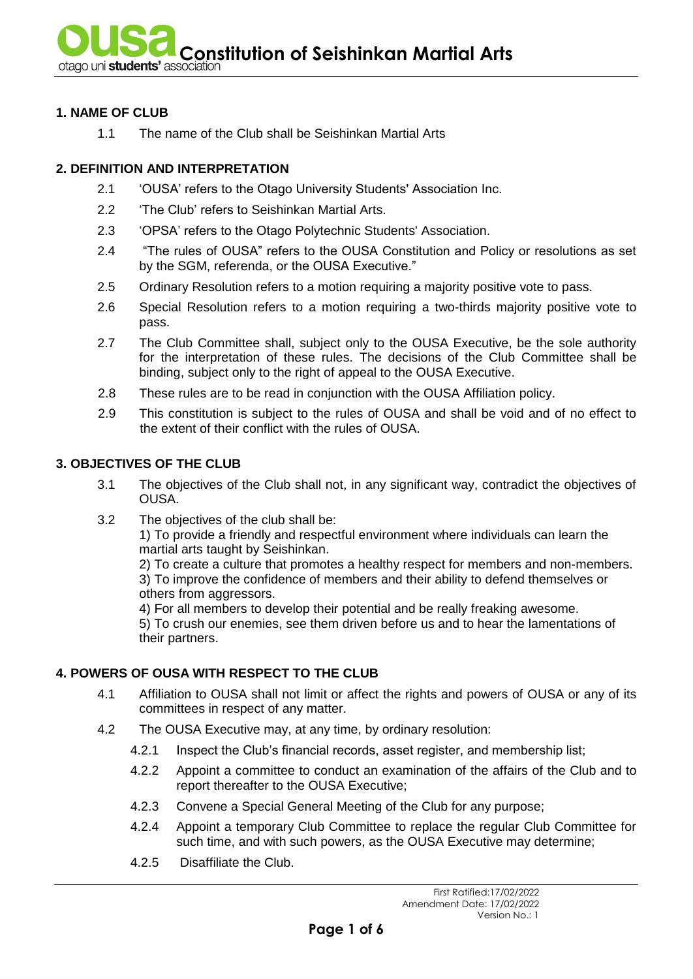**Constitution of Seishinkan Martial Arts** of **Seishinkan Martial Arts** 

### **1. NAME OF CLUB**

1.1 The name of the Club shall be Seishinkan Martial Arts

## **2. DEFINITION AND INTERPRETATION**

- 2.1 'OUSA' refers to the Otago University Students' Association Inc.
- 2.2 'The Club' refers to Seishinkan Martial Arts.
- 2.3 'OPSA' refers to the Otago Polytechnic Students' Association.
- 2.4 "The rules of OUSA" refers to the OUSA Constitution and Policy or resolutions as set by the SGM, referenda, or the OUSA Executive."
- 2.5 Ordinary Resolution refers to a motion requiring a majority positive vote to pass.
- 2.6 Special Resolution refers to a motion requiring a two-thirds majority positive vote to pass.
- 2.7 The Club Committee shall, subject only to the OUSA Executive, be the sole authority for the interpretation of these rules. The decisions of the Club Committee shall be binding, subject only to the right of appeal to the OUSA Executive.
- 2.8 These rules are to be read in conjunction with the OUSA Affiliation policy.
- 2.9 This constitution is subject to the rules of OUSA and shall be void and of no effect to the extent of their conflict with the rules of OUSA.

# **3. OBJECTIVES OF THE CLUB**

- 3.1 The objectives of the Club shall not, in any significant way, contradict the objectives of OUSA.
- 3.2 The objectives of the club shall be:

1) To provide a friendly and respectful environment where individuals can learn the martial arts taught by Seishinkan.

2) To create a culture that promotes a healthy respect for members and non-members. 3) To improve the confidence of members and their ability to defend themselves or others from aggressors.

4) For all members to develop their potential and be really freaking awesome.

5) To crush our enemies, see them driven before us and to hear the lamentations of their partners.

### **4. POWERS OF OUSA WITH RESPECT TO THE CLUB**

- 4.1 Affiliation to OUSA shall not limit or affect the rights and powers of OUSA or any of its committees in respect of any matter.
- 4.2 The OUSA Executive may, at any time, by ordinary resolution:
	- 4.2.1 Inspect the Club's financial records, asset register, and membership list;
	- 4.2.2 Appoint a committee to conduct an examination of the affairs of the Club and to report thereafter to the OUSA Executive;
	- 4.2.3 Convene a Special General Meeting of the Club for any purpose;
	- 4.2.4 Appoint a temporary Club Committee to replace the regular Club Committee for such time, and with such powers, as the OUSA Executive may determine;
	- 4.2.5 Disaffiliate the Club.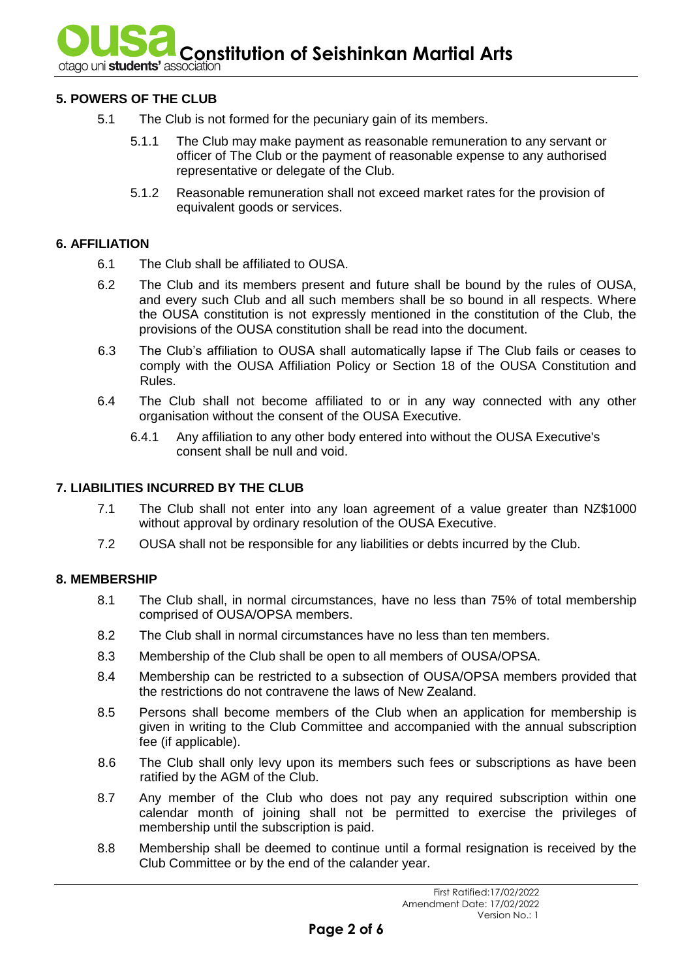**Constitution of Seishinkan Martial Arts** because the **Seishinkan Martial Arts** 

### **5. POWERS OF THE CLUB**

- 5.1 The Club is not formed for the pecuniary gain of its members.
	- 5.1.1 The Club may make payment as reasonable remuneration to any servant or officer of The Club or the payment of reasonable expense to any authorised representative or delegate of the Club.
	- 5.1.2 Reasonable remuneration shall not exceed market rates for the provision of equivalent goods or services.

### **6. AFFILIATION**

- 6.1 The Club shall be affiliated to OUSA.
- 6.2 The Club and its members present and future shall be bound by the rules of OUSA, and every such Club and all such members shall be so bound in all respects. Where the OUSA constitution is not expressly mentioned in the constitution of the Club, the provisions of the OUSA constitution shall be read into the document.
- 6.3 The Club's affiliation to OUSA shall automatically lapse if The Club fails or ceases to comply with the OUSA Affiliation Policy or Section 18 of the OUSA Constitution and Rules.
- 6.4 The Club shall not become affiliated to or in any way connected with any other organisation without the consent of the OUSA Executive.
	- 6.4.1 Any affiliation to any other body entered into without the OUSA Executive's consent shall be null and void.

#### **7. LIABILITIES INCURRED BY THE CLUB**

- 7.1 The Club shall not enter into any loan agreement of a value greater than NZ\$1000 without approval by ordinary resolution of the OUSA Executive.
- 7.2 OUSA shall not be responsible for any liabilities or debts incurred by the Club.

### **8. MEMBERSHIP**

- 8.1 The Club shall, in normal circumstances, have no less than 75% of total membership comprised of OUSA/OPSA members.
- 8.2 The Club shall in normal circumstances have no less than ten members.
- 8.3 Membership of the Club shall be open to all members of OUSA/OPSA.
- 8.4 Membership can be restricted to a subsection of OUSA/OPSA members provided that the restrictions do not contravene the laws of New Zealand.
- 8.5 Persons shall become members of the Club when an application for membership is given in writing to the Club Committee and accompanied with the annual subscription fee (if applicable).
- 8.6 The Club shall only levy upon its members such fees or subscriptions as have been ratified by the AGM of the Club.
- 8.7 Any member of the Club who does not pay any required subscription within one calendar month of joining shall not be permitted to exercise the privileges of membership until the subscription is paid.
- 8.8 Membership shall be deemed to continue until a formal resignation is received by the Club Committee or by the end of the calander year.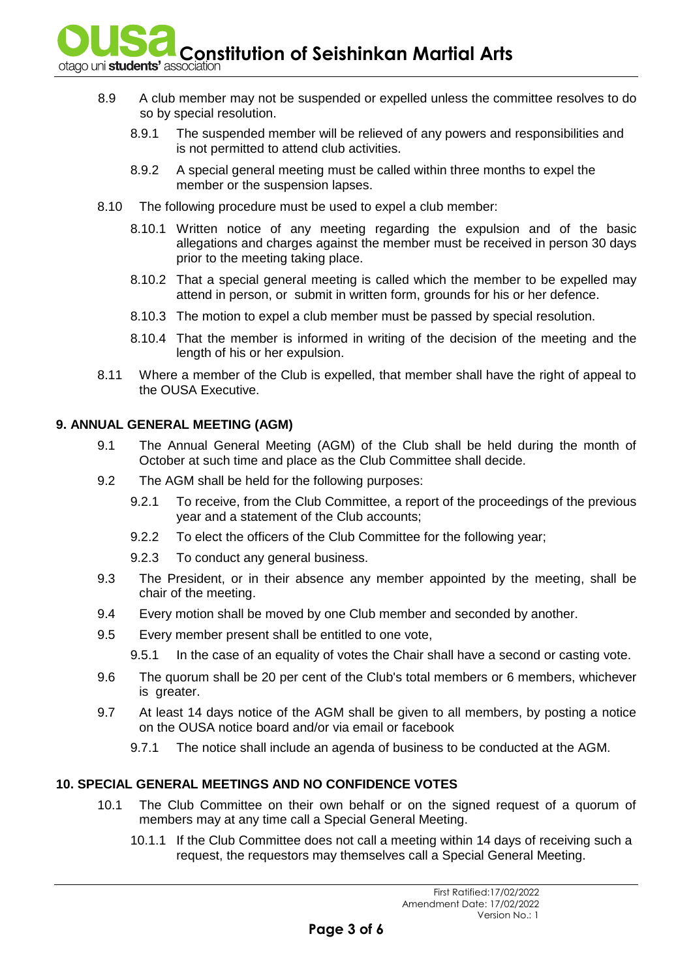**Constitution of Seishinkan Martial Arts** 

- 
- 8.9 A club member may not be suspended or expelled unless the committee resolves to do so by special resolution.
	- 8.9.1 The suspended member will be relieved of any powers and responsibilities and is not permitted to attend club activities.
	- 8.9.2 A special general meeting must be called within three months to expel the member or the suspension lapses.
- 8.10 The following procedure must be used to expel a club member:
	- 8.10.1 Written notice of any meeting regarding the expulsion and of the basic allegations and charges against the member must be received in person 30 days prior to the meeting taking place.
	- 8.10.2 That a special general meeting is called which the member to be expelled may attend in person, or submit in written form, grounds for his or her defence.
	- 8.10.3 The motion to expel a club member must be passed by special resolution.
	- 8.10.4 That the member is informed in writing of the decision of the meeting and the length of his or her expulsion.
- 8.11 Where a member of the Club is expelled, that member shall have the right of appeal to the OUSA Executive.

# **9. ANNUAL GENERAL MEETING (AGM)**

- 9.1 The Annual General Meeting (AGM) of the Club shall be held during the month of October at such time and place as the Club Committee shall decide.
- 9.2 The AGM shall be held for the following purposes:
	- 9.2.1 To receive, from the Club Committee, a report of the proceedings of the previous year and a statement of the Club accounts;
	- 9.2.2 To elect the officers of the Club Committee for the following year;
	- 9.2.3 To conduct any general business.
- 9.3 The President, or in their absence any member appointed by the meeting, shall be chair of the meeting.
- 9.4 Every motion shall be moved by one Club member and seconded by another.
- 9.5 Every member present shall be entitled to one vote,
	- 9.5.1 In the case of an equality of votes the Chair shall have a second or casting vote.
- 9.6 The quorum shall be 20 per cent of the Club's total members or 6 members, whichever is greater.
- 9.7 At least 14 days notice of the AGM shall be given to all members, by posting a notice on the OUSA notice board and/or via email or facebook
	- 9.7.1 The notice shall include an agenda of business to be conducted at the AGM.

# **10. SPECIAL GENERAL MEETINGS AND NO CONFIDENCE VOTES**

- 10.1 The Club Committee on their own behalf or on the signed request of a quorum of members may at any time call a Special General Meeting.
	- 10.1.1 If the Club Committee does not call a meeting within 14 days of receiving such a request, the requestors may themselves call a Special General Meeting.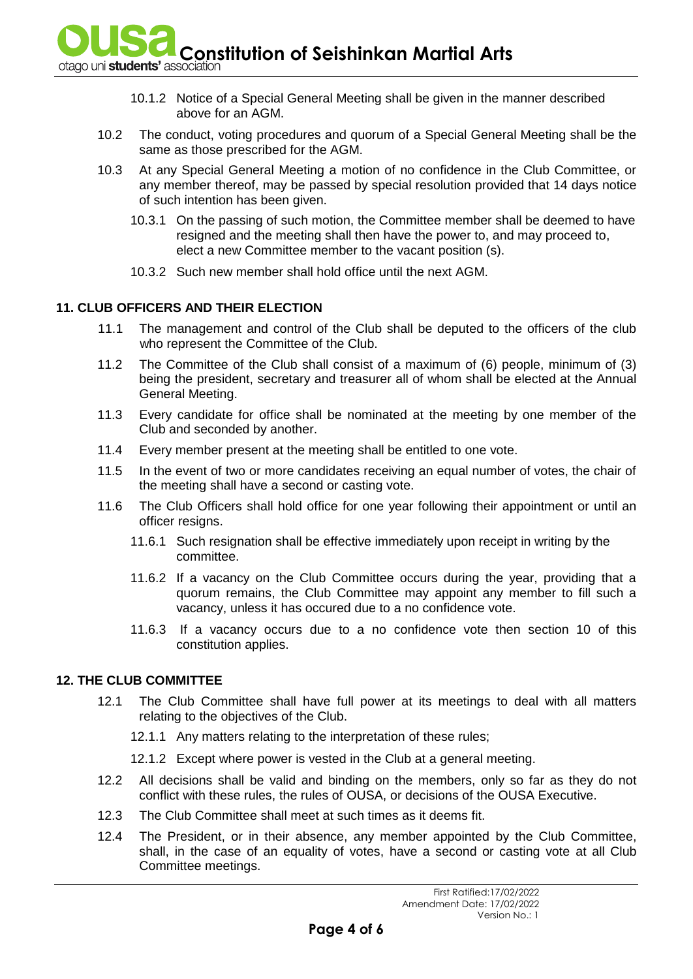**Constitution of Seishinkan Martial Arts** between the sensor of  $\mathbf{S}$  **Constitution** 

- - 10.1.2 Notice of a Special General Meeting shall be given in the manner described above for an AGM.
- 10.2 The conduct, voting procedures and quorum of a Special General Meeting shall be the same as those prescribed for the AGM.
- 10.3 At any Special General Meeting a motion of no confidence in the Club Committee, or any member thereof, may be passed by special resolution provided that 14 days notice of such intention has been given.
	- 10.3.1 On the passing of such motion, the Committee member shall be deemed to have resigned and the meeting shall then have the power to, and may proceed to, elect a new Committee member to the vacant position (s).
	- 10.3.2 Such new member shall hold office until the next AGM.

## **11. CLUB OFFICERS AND THEIR ELECTION**

- 11.1 The management and control of the Club shall be deputed to the officers of the club who represent the Committee of the Club.
- 11.2 The Committee of the Club shall consist of a maximum of (6) people, minimum of (3) being the president, secretary and treasurer all of whom shall be elected at the Annual General Meeting.
- 11.3 Every candidate for office shall be nominated at the meeting by one member of the Club and seconded by another.
- 11.4 Every member present at the meeting shall be entitled to one vote.
- 11.5 In the event of two or more candidates receiving an equal number of votes, the chair of the meeting shall have a second or casting vote.
- 11.6 The Club Officers shall hold office for one year following their appointment or until an officer resigns.
	- 11.6.1 Such resignation shall be effective immediately upon receipt in writing by the committee.
	- 11.6.2 If a vacancy on the Club Committee occurs during the year, providing that a quorum remains, the Club Committee may appoint any member to fill such a vacancy, unless it has occured due to a no confidence vote.
	- 11.6.3 If a vacancy occurs due to a no confidence vote then section 10 of this constitution applies.

### **12. THE CLUB COMMITTEE**

- 12.1 The Club Committee shall have full power at its meetings to deal with all matters relating to the objectives of the Club.
	- 12.1.1 Any matters relating to the interpretation of these rules;
	- 12.1.2 Except where power is vested in the Club at a general meeting.
- 12.2 All decisions shall be valid and binding on the members, only so far as they do not conflict with these rules, the rules of OUSA, or decisions of the OUSA Executive.
- 12.3 The Club Committee shall meet at such times as it deems fit.
- 12.4 The President, or in their absence, any member appointed by the Club Committee, shall, in the case of an equality of votes, have a second or casting vote at all Club Committee meetings.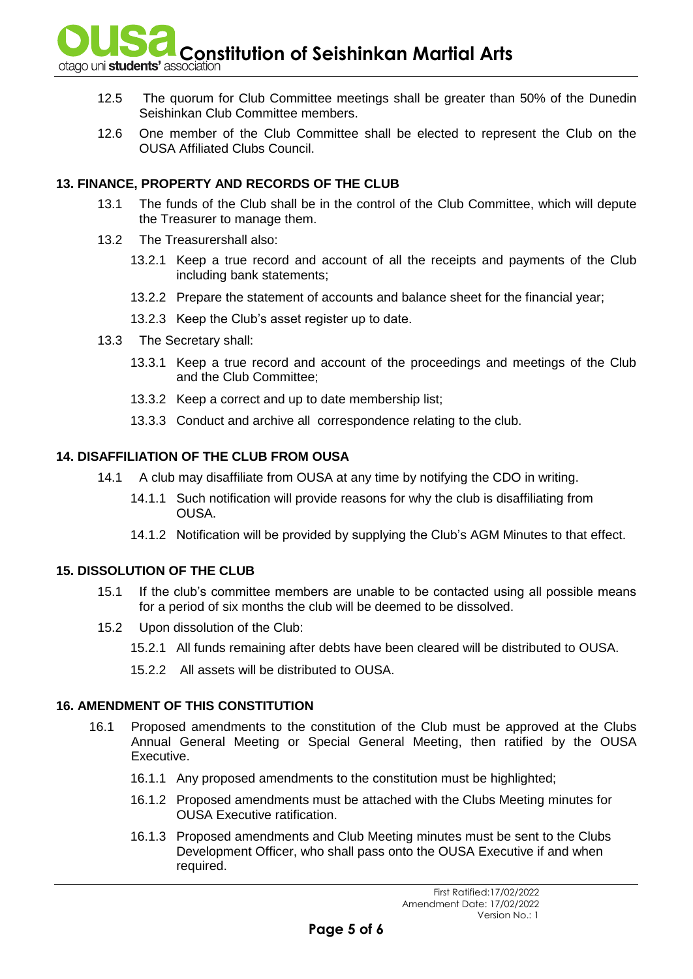**Constitution of Seishinkan Martial Arts** of **Seishinkan Martial Arts** 

- 12.5 The quorum for Club Committee meetings shall be greater than 50% of the Dunedin Seishinkan Club Committee members.
- 12.6 One member of the Club Committee shall be elected to represent the Club on the OUSA Affiliated Clubs Council.

## **13. FINANCE, PROPERTY AND RECORDS OF THE CLUB**

- 13.1 The funds of the Club shall be in the control of the Club Committee, which will depute the Treasurer to manage them.
- 13.2 The Treasurershall also:
	- 13.2.1 Keep a true record and account of all the receipts and payments of the Club including bank statements;
	- 13.2.2 Prepare the statement of accounts and balance sheet for the financial year;
	- 13.2.3 Keep the Club's asset register up to date.
- 13.3 The Secretary shall:
	- 13.3.1 Keep a true record and account of the proceedings and meetings of the Club and the Club Committee;
	- 13.3.2 Keep a correct and up to date membership list;
	- 13.3.3 Conduct and archive all correspondence relating to the club.

### **14. DISAFFILIATION OF THE CLUB FROM OUSA**

- 14.1 A club may disaffiliate from OUSA at any time by notifying the CDO in writing.
	- 14.1.1 Such notification will provide reasons for why the club is disaffiliating from OUSA.
	- 14.1.2 Notification will be provided by supplying the Club's AGM Minutes to that effect.

### **15. DISSOLUTION OF THE CLUB**

- 15.1 If the club's committee members are unable to be contacted using all possible means for a period of six months the club will be deemed to be dissolved.
- 15.2 Upon dissolution of the Club:
	- 15.2.1 All funds remaining after debts have been cleared will be distributed to OUSA.
	- 15.2.2 All assets will be distributed to OUSA.

### **16. AMENDMENT OF THIS CONSTITUTION**

- 16.1 Proposed amendments to the constitution of the Club must be approved at the Clubs Annual General Meeting or Special General Meeting, then ratified by the OUSA Executive.
	- 16.1.1 Any proposed amendments to the constitution must be highlighted;
	- 16.1.2 Proposed amendments must be attached with the Clubs Meeting minutes for OUSA Executive ratification.
	- 16.1.3 Proposed amendments and Club Meeting minutes must be sent to the Clubs Development Officer, who shall pass onto the OUSA Executive if and when required.